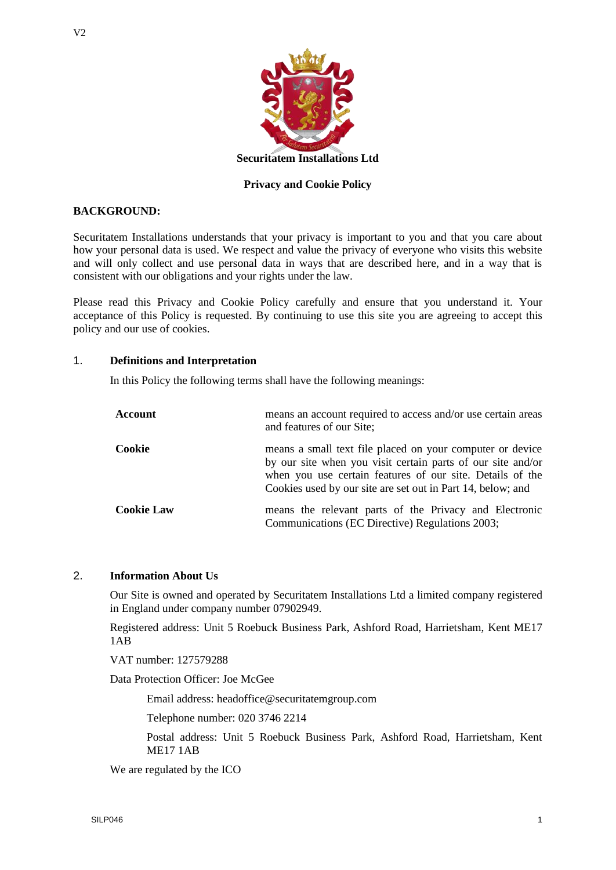

### **Privacy and Cookie Policy**

## **BACKGROUND:**

Securitatem Installations understands that your privacy is important to you and that you care about how your personal data is used. We respect and value the privacy of everyone who visits this website and will only collect and use personal data in ways that are described here, and in a way that is consistent with our obligations and your rights under the law.

Please read this Privacy and Cookie Policy carefully and ensure that you understand it. Your acceptance of this Policy is requested. By continuing to use this site you are agreeing to accept this policy and our use of cookies.

#### 1. **Definitions and Interpretation**

In this Policy the following terms shall have the following meanings:

| Account           | means an account required to access and/or use certain areas<br>and features of our Site;                                                                                                                                                            |
|-------------------|------------------------------------------------------------------------------------------------------------------------------------------------------------------------------------------------------------------------------------------------------|
| Cookie            | means a small text file placed on your computer or device<br>by our site when you visit certain parts of our site and/or<br>when you use certain features of our site. Details of the<br>Cookies used by our site are set out in Part 14, below; and |
| <b>Cookie Law</b> | means the relevant parts of the Privacy and Electronic<br>Communications (EC Directive) Regulations 2003;                                                                                                                                            |

## 2. **Information About Us**

Our Site is owned and operated by Securitatem Installations Ltd a limited company registered in England under company number 07902949.

Registered address: Unit 5 Roebuck Business Park, Ashford Road, Harrietsham, Kent ME17 1AB

VAT number: 127579288

Data Protection Officer: Joe McGee

Email address: headoffice@securitatemgroup.com

Telephone number: 020 3746 2214

Postal address: Unit 5 Roebuck Business Park, Ashford Road, Harrietsham, Kent ME17 1AB

We are regulated by the ICO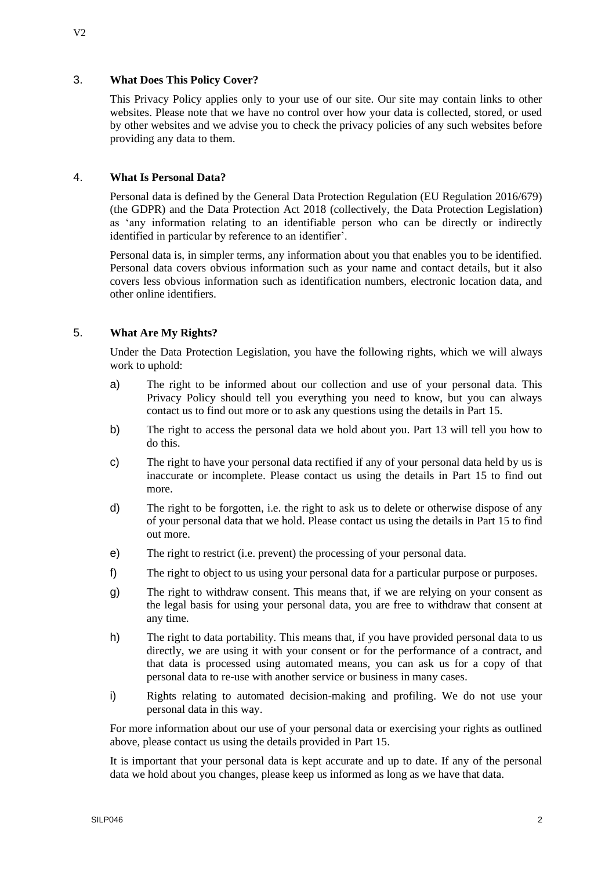### 3. **What Does This Policy Cover?**

This Privacy Policy applies only to your use of our site. Our site may contain links to other websites. Please note that we have no control over how your data is collected, stored, or used by other websites and we advise you to check the privacy policies of any such websites before providing any data to them.

### 4. **What Is Personal Data?**

Personal data is defined by the General Data Protection Regulation (EU Regulation 2016/679) (the GDPR) and the Data Protection Act 2018 (collectively, the Data Protection Legislation) as 'any information relating to an identifiable person who can be directly or indirectly identified in particular by reference to an identifier'.

Personal data is, in simpler terms, any information about you that enables you to be identified. Personal data covers obvious information such as your name and contact details, but it also covers less obvious information such as identification numbers, electronic location data, and other online identifiers.

### 5. **What Are My Rights?**

Under the Data Protection Legislation, you have the following rights, which we will always work to uphold:

- a) The right to be informed about our collection and use of your personal data. This Privacy Policy should tell you everything you need to know, but you can always contact us to find out more or to ask any questions using the details in Part 15.
- b) The right to access the personal data we hold about you. Part 13 will tell you how to do this.
- c) The right to have your personal data rectified if any of your personal data held by us is inaccurate or incomplete. Please contact us using the details in Part 15 to find out more.
- d) The right to be forgotten, i.e. the right to ask us to delete or otherwise dispose of any of your personal data that we hold. Please contact us using the details in Part 15 to find out more.
- e) The right to restrict (i.e. prevent) the processing of your personal data.
- f) The right to object to us using your personal data for a particular purpose or purposes.
- g) The right to withdraw consent. This means that, if we are relying on your consent as the legal basis for using your personal data, you are free to withdraw that consent at any time.
- h) The right to data portability. This means that, if you have provided personal data to us directly, we are using it with your consent or for the performance of a contract, and that data is processed using automated means, you can ask us for a copy of that personal data to re-use with another service or business in many cases.
- i) Rights relating to automated decision-making and profiling. We do not use your personal data in this way.

For more information about our use of your personal data or exercising your rights as outlined above, please contact us using the details provided in Part 15.

It is important that your personal data is kept accurate and up to date. If any of the personal data we hold about you changes, please keep us informed as long as we have that data.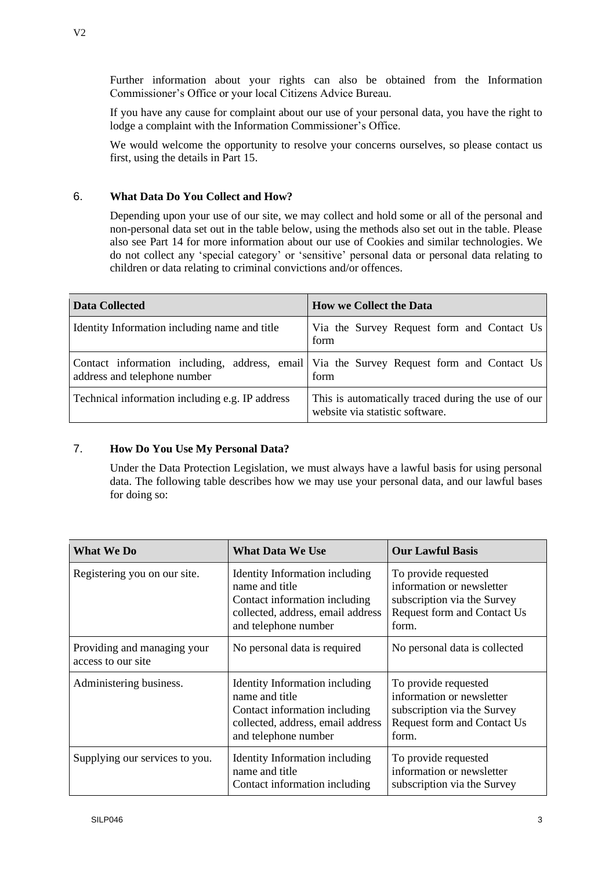Commissioner's Office or your local Citizens Advice Bureau.

If you have any cause for complaint about our use of your personal data, you have the right to lodge a complaint with the Information Commissioner's Office.

We would welcome the opportunity to resolve your concerns ourselves, so please contact us first, using the details in Part 15.

# 6. **What Data Do You Collect and How?**

Depending upon your use of our site, we may collect and hold some or all of the personal and non-personal data set out in the table below, using the methods also set out in the table. Please also see Part 14 for more information about our use of Cookies and similar technologies. We do not collect any 'special category' or 'sensitive' personal data or personal data relating to children or data relating to criminal convictions and/or offences.

| Data Collected                                  | <b>How we Collect the Data</b>                                                                   |
|-------------------------------------------------|--------------------------------------------------------------------------------------------------|
| Identity Information including name and title   | Via the Survey Request form and Contact Us<br>form                                               |
| address and telephone number                    | Contact information including, address, email Via the Survey Request form and Contact Us<br>form |
| Technical information including e.g. IP address | This is automatically traced during the use of our<br>website via statistic software.            |

# 7. **How Do You Use My Personal Data?**

Under the Data Protection Legislation, we must always have a lawful basis for using personal data. The following table describes how we may use your personal data, and our lawful bases for doing so:

| <b>What We Do</b>                                 | <b>What Data We Use</b>                                                                                                                               | <b>Our Lawful Basis</b>                                                                                                  |
|---------------------------------------------------|-------------------------------------------------------------------------------------------------------------------------------------------------------|--------------------------------------------------------------------------------------------------------------------------|
| Registering you on our site.                      | <b>Identity Information including</b><br>name and title<br>Contact information including<br>collected, address, email address<br>and telephone number | To provide requested<br>information or newsletter<br>subscription via the Survey<br>Request form and Contact Us<br>form. |
| Providing and managing your<br>access to our site | No personal data is required                                                                                                                          | No personal data is collected                                                                                            |
| Administering business.                           | Identity Information including<br>name and title<br>Contact information including<br>collected, address, email address<br>and telephone number        | To provide requested<br>information or newsletter<br>subscription via the Survey<br>Request form and Contact Us<br>form. |
| Supplying our services to you.                    | Identity Information including<br>name and title<br>Contact information including                                                                     | To provide requested<br>information or newsletter<br>subscription via the Survey                                         |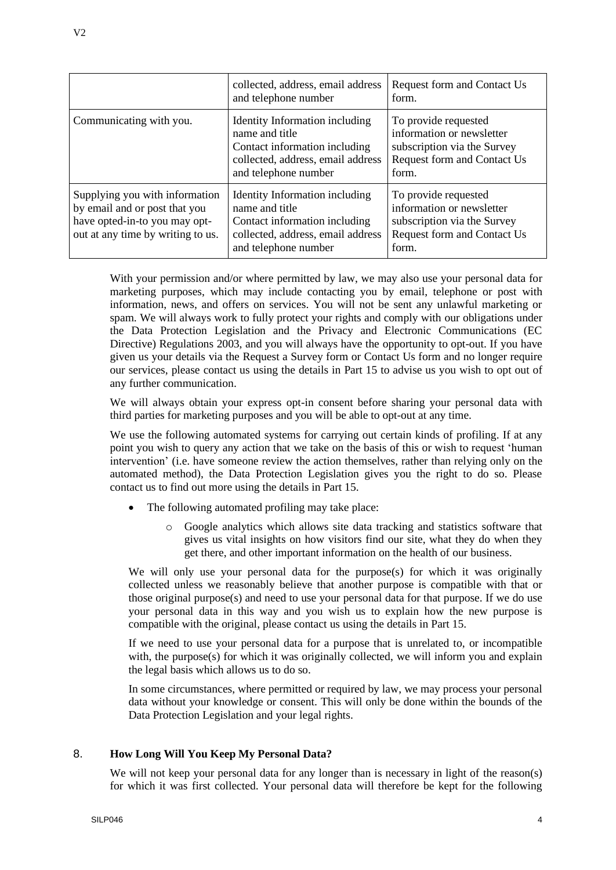|                                                                                                                                       | collected, address, email address<br>and telephone number                                                                                      | Request form and Contact Us<br>form.                                                                                     |
|---------------------------------------------------------------------------------------------------------------------------------------|------------------------------------------------------------------------------------------------------------------------------------------------|--------------------------------------------------------------------------------------------------------------------------|
| Communicating with you.                                                                                                               | Identity Information including<br>name and title<br>Contact information including<br>collected, address, email address<br>and telephone number | To provide requested<br>information or newsletter<br>subscription via the Survey<br>Request form and Contact Us<br>form. |
| Supplying you with information<br>by email and or post that you<br>have opted-in-to you may opt-<br>out at any time by writing to us. | Identity Information including<br>name and title<br>Contact information including<br>collected, address, email address<br>and telephone number | To provide requested<br>information or newsletter<br>subscription via the Survey<br>Request form and Contact Us<br>form. |

With your permission and/or where permitted by law, we may also use your personal data for marketing purposes, which may include contacting you by email, telephone or post with information, news, and offers on services. You will not be sent any unlawful marketing or spam. We will always work to fully protect your rights and comply with our obligations under the Data Protection Legislation and the Privacy and Electronic Communications (EC Directive) Regulations 2003, and you will always have the opportunity to opt-out. If you have given us your details via the Request a Survey form or Contact Us form and no longer require our services, please contact us using the details in Part 15 to advise us you wish to opt out of any further communication.

We will always obtain your express opt-in consent before sharing your personal data with third parties for marketing purposes and you will be able to opt-out at any time.

We use the following automated systems for carrying out certain kinds of profiling. If at any point you wish to query any action that we take on the basis of this or wish to request 'human intervention' (i.e. have someone review the action themselves, rather than relying only on the automated method), the Data Protection Legislation gives you the right to do so. Please contact us to find out more using the details in Part 15.

- The following automated profiling may take place:
	- o Google analytics which allows site data tracking and statistics software that gives us vital insights on how visitors find our site, what they do when they get there, and other important information on the health of our business.

We will only use your personal data for the purpose(s) for which it was originally collected unless we reasonably believe that another purpose is compatible with that or those original purpose(s) and need to use your personal data for that purpose. If we do use your personal data in this way and you wish us to explain how the new purpose is compatible with the original, please contact us using the details in Part 15.

If we need to use your personal data for a purpose that is unrelated to, or incompatible with, the purpose(s) for which it was originally collected, we will inform you and explain the legal basis which allows us to do so.

In some circumstances, where permitted or required by law, we may process your personal data without your knowledge or consent. This will only be done within the bounds of the Data Protection Legislation and your legal rights.

# 8. **How Long Will You Keep My Personal Data?**

We will not keep your personal data for any longer than is necessary in light of the reason(s) for which it was first collected. Your personal data will therefore be kept for the following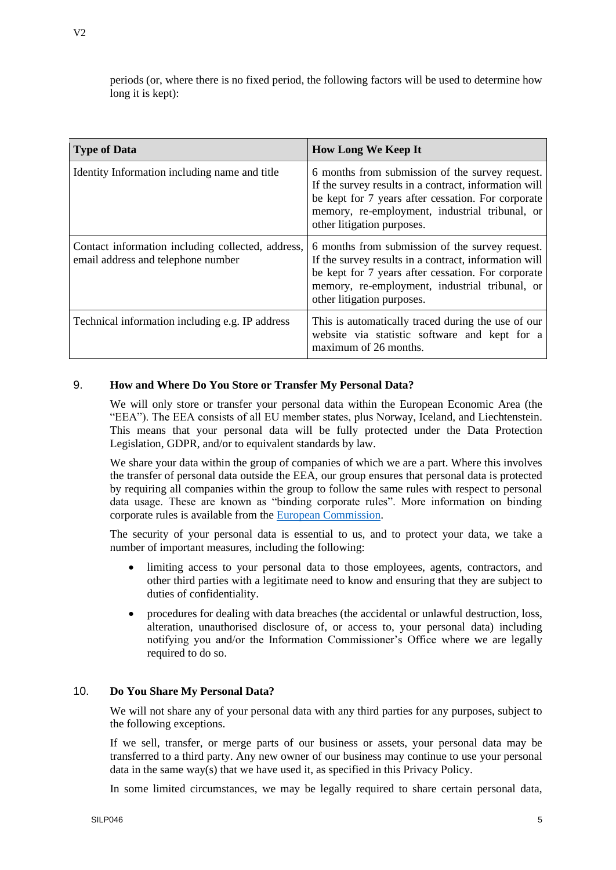| <b>Type of Data</b>                                                                     | <b>How Long We Keep It</b>                                                                                                                                                                                                                     |
|-----------------------------------------------------------------------------------------|------------------------------------------------------------------------------------------------------------------------------------------------------------------------------------------------------------------------------------------------|
| Identity Information including name and title                                           | 6 months from submission of the survey request.<br>If the survey results in a contract, information will<br>be kept for 7 years after cessation. For corporate<br>memory, re-employment, industrial tribunal, or<br>other litigation purposes. |
| Contact information including collected, address,<br>email address and telephone number | 6 months from submission of the survey request.<br>If the survey results in a contract, information will<br>be kept for 7 years after cessation. For corporate<br>memory, re-employment, industrial tribunal, or<br>other litigation purposes. |
| Technical information including e.g. IP address                                         | This is automatically traced during the use of our<br>website via statistic software and kept for a<br>maximum of 26 months.                                                                                                                   |

#### 9. **How and Where Do You Store or Transfer My Personal Data?**

We will only store or transfer your personal data within the European Economic Area (the "EEA"). The EEA consists of all EU member states, plus Norway, Iceland, and Liechtenstein. This means that your personal data will be fully protected under the Data Protection Legislation, GDPR, and/or to equivalent standards by law.

We share your data within the group of companies of which we are a part. Where this involves the transfer of personal data outside the EEA, our group ensures that personal data is protected by requiring all companies within the group to follow the same rules with respect to personal data usage. These are known as "binding corporate rules". More information on binding corporate rules is available from the [European Commission.](https://ec.europa.eu/info/law/law-topic/data-protection/data-transfers-outside-eu/binding-corporate-rules_en)

The security of your personal data is essential to us, and to protect your data, we take a number of important measures, including the following:

- limiting access to your personal data to those employees, agents, contractors, and other third parties with a legitimate need to know and ensuring that they are subject to duties of confidentiality.
- procedures for dealing with data breaches (the accidental or unlawful destruction, loss, alteration, unauthorised disclosure of, or access to, your personal data) including notifying you and/or the Information Commissioner's Office where we are legally required to do so.

#### 10. **Do You Share My Personal Data?**

We will not share any of your personal data with any third parties for any purposes, subject to the following exceptions.

If we sell, transfer, or merge parts of our business or assets, your personal data may be transferred to a third party. Any new owner of our business may continue to use your personal data in the same way(s) that we have used it, as specified in this Privacy Policy.

In some limited circumstances, we may be legally required to share certain personal data,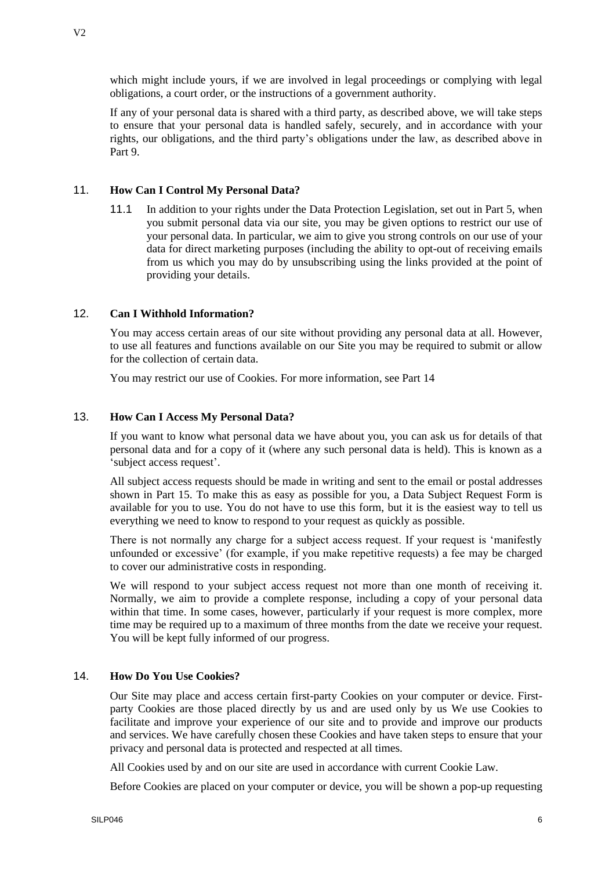which might include yours, if we are involved in legal proceedings or complying with legal obligations, a court order, or the instructions of a government authority.

If any of your personal data is shared with a third party, as described above, we will take steps to ensure that your personal data is handled safely, securely, and in accordance with your rights, our obligations, and the third party's obligations under the law, as described above in Part 9.

# 11. **How Can I Control My Personal Data?**

11.1 In addition to your rights under the Data Protection Legislation, set out in Part 5, when you submit personal data via our site, you may be given options to restrict our use of your personal data. In particular, we aim to give you strong controls on our use of your data for direct marketing purposes (including the ability to opt-out of receiving emails from us which you may do by unsubscribing using the links provided at the point of providing your details.

### 12. **Can I Withhold Information?**

You may access certain areas of our site without providing any personal data at all. However, to use all features and functions available on our Site you may be required to submit or allow for the collection of certain data.

You may restrict our use of Cookies. For more information, see Part 14

#### 13. **How Can I Access My Personal Data?**

If you want to know what personal data we have about you, you can ask us for details of that personal data and for a copy of it (where any such personal data is held). This is known as a 'subject access request'.

All subject access requests should be made in writing and sent to the email or postal addresses shown in Part 15. To make this as easy as possible for you, a Data Subject Request Form is available for you to use. You do not have to use this form, but it is the easiest way to tell us everything we need to know to respond to your request as quickly as possible.

There is not normally any charge for a subject access request. If your request is 'manifestly unfounded or excessive' (for example, if you make repetitive requests) a fee may be charged to cover our administrative costs in responding.

We will respond to your subject access request not more than one month of receiving it. Normally, we aim to provide a complete response, including a copy of your personal data within that time. In some cases, however, particularly if your request is more complex, more time may be required up to a maximum of three months from the date we receive your request. You will be kept fully informed of our progress.

#### 14. **How Do You Use Cookies?**

Our Site may place and access certain first-party Cookies on your computer or device. Firstparty Cookies are those placed directly by us and are used only by us We use Cookies to facilitate and improve your experience of our site and to provide and improve our products and services. We have carefully chosen these Cookies and have taken steps to ensure that your privacy and personal data is protected and respected at all times.

All Cookies used by and on our site are used in accordance with current Cookie Law.

Before Cookies are placed on your computer or device, you will be shown a pop-up requesting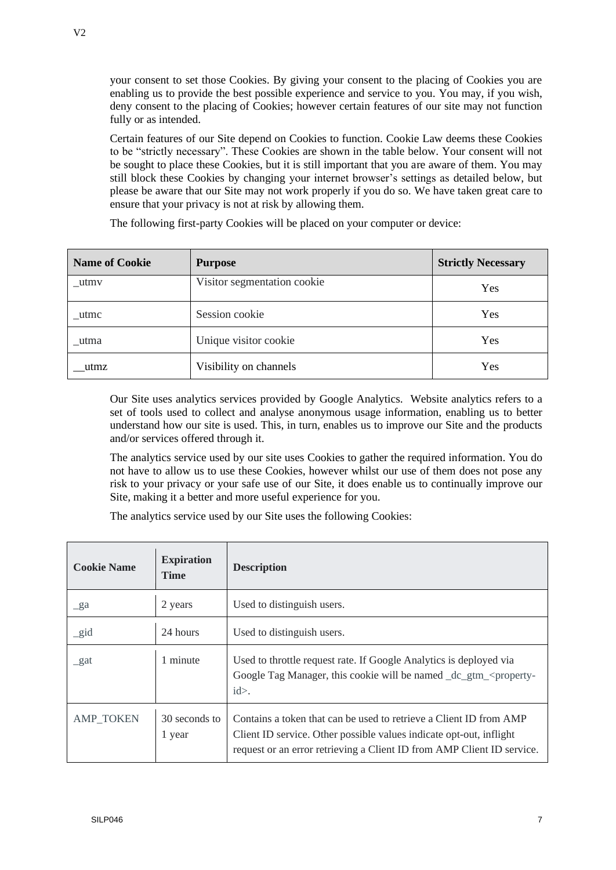your consent to set those Cookies. By giving your consent to the placing of Cookies you are enabling us to provide the best possible experience and service to you. You may, if you wish, deny consent to the placing of Cookies; however certain features of our site may not function fully or as intended.

Certain features of our Site depend on Cookies to function. Cookie Law deems these Cookies to be "strictly necessary". These Cookies are shown in the table below. Your consent will not be sought to place these Cookies, but it is still important that you are aware of them. You may still block these Cookies by changing your internet browser's settings as detailed below, but please be aware that our Site may not work properly if you do so. We have taken great care to ensure that your privacy is not at risk by allowing them.

| <b>Name of Cookie</b> | <b>Purpose</b>              | <b>Strictly Necessary</b> |
|-----------------------|-----------------------------|---------------------------|
| $_{\text{u}tmv}$      | Visitor segmentation cookie | Yes                       |
| utmc                  | Session cookie              | Yes                       |
| utma                  | Unique visitor cookie       | Yes                       |
| utmz                  | Visibility on channels      | Yes                       |

The following first-party Cookies will be placed on your computer or device:

Our Site uses analytics services provided by Google Analytics. Website analytics refers to a set of tools used to collect and analyse anonymous usage information, enabling us to better understand how our site is used. This, in turn, enables us to improve our Site and the products and/or services offered through it.

The analytics service used by our site uses Cookies to gather the required information. You do not have to allow us to use these Cookies, however whilst our use of them does not pose any risk to your privacy or your safe use of our Site, it does enable us to continually improve our Site, making it a better and more useful experience for you.

The analytics service used by our Site uses the following Cookies:

| <b>Cookie Name</b> | <b>Expiration</b><br><b>Time</b> | <b>Description</b>                                                                                                                                                                                                  |
|--------------------|----------------------------------|---------------------------------------------------------------------------------------------------------------------------------------------------------------------------------------------------------------------|
| $\mathbf{g}$ a     | 2 years                          | Used to distinguish users.                                                                                                                                                                                          |
| $\_gid$            | 24 hours                         | Used to distinguish users.                                                                                                                                                                                          |
| gat                | 1 minute                         | Used to throttle request rate. If Google Analytics is deployed via<br>Google Tag Manager, this cookie will be named dc gtm <property-<br><math>id</math>.</property-<br>                                            |
| <b>AMP TOKEN</b>   | 30 seconds to<br>1 year          | Contains a token that can be used to retrieve a Client ID from AMP<br>Client ID service. Other possible values indicate opt-out, inflight<br>request or an error retrieving a Client ID from AMP Client ID service. |